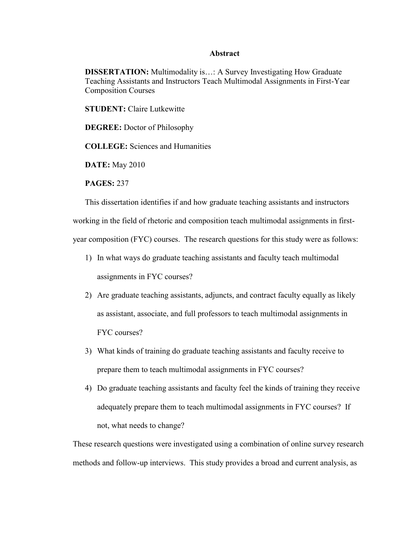## **Abstract**

**DISSERTATION:** Multimodality is…: A Survey Investigating How Graduate Teaching Assistants and Instructors Teach Multimodal Assignments in First-Year Composition Courses

**STUDENT:** Claire Lutkewitte

**DEGREE:** Doctor of Philosophy

**COLLEGE:** Sciences and Humanities

**DATE:** May 2010

**PAGES:** 237

This dissertation identifies if and how graduate teaching assistants and instructors

working in the field of rhetoric and composition teach multimodal assignments in firstyear composition (FYC) courses. The research questions for this study were as follows:

- 1) In what ways do graduate teaching assistants and faculty teach multimodal assignments in FYC courses?
- 2) Are graduate teaching assistants, adjuncts, and contract faculty equally as likely as assistant, associate, and full professors to teach multimodal assignments in FYC courses?
- 3) What kinds of training do graduate teaching assistants and faculty receive to prepare them to teach multimodal assignments in FYC courses?
- 4) Do graduate teaching assistants and faculty feel the kinds of training they receive adequately prepare them to teach multimodal assignments in FYC courses? If not, what needs to change?

These research questions were investigated using a combination of online survey research methods and follow-up interviews. This study provides a broad and current analysis, as